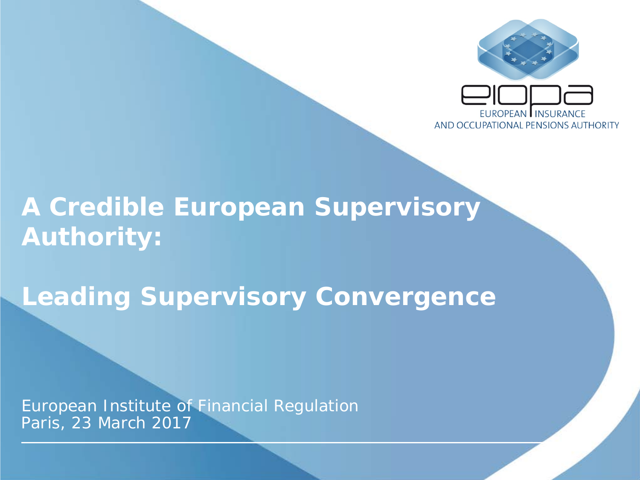

# **A Credible European Supervisory Authority:**

**Leading Supervisory Convergence**

European Institute of Financial Regulation Paris, 23 March 2017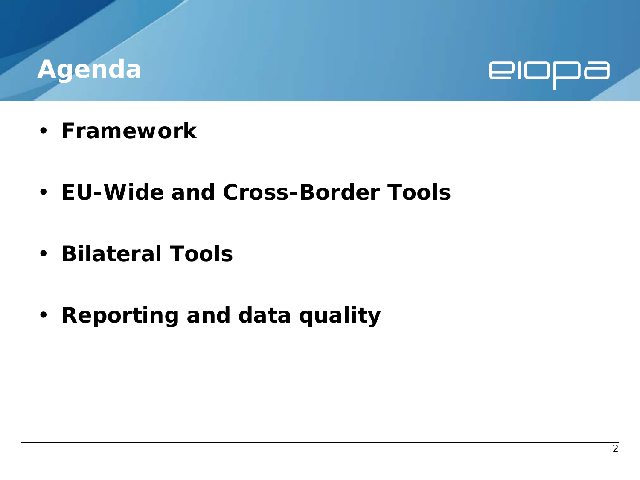## **Agenda**



- **Framework**
- **EU-Wide and Cross-Border Tools**
- **Bilateral Tools**
- **Reporting and data quality**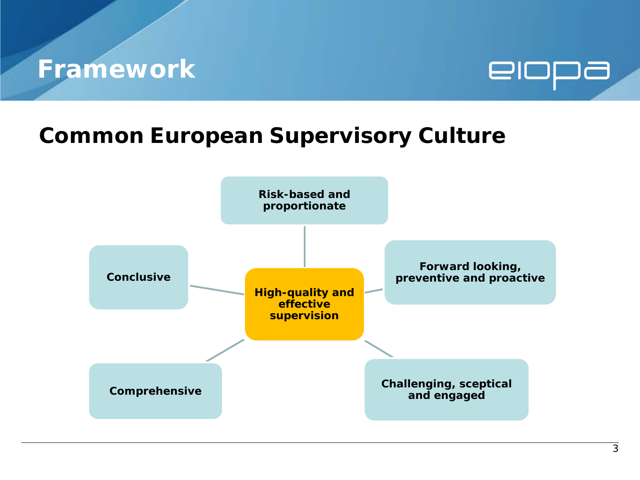### **Framework**



#### **Common European Supervisory Culture**

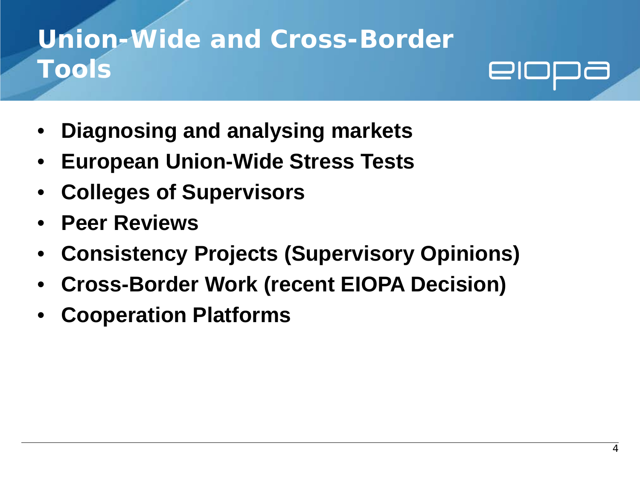# **Union-Wide and Cross-Border Tools**



- **Diagnosing and analysing markets**
- **European Union-Wide Stress Tests**
- **Colleges of Supervisors**
- **Peer Reviews**
- **Consistency Projects (Supervisory Opinions)**
- **Cross-Border Work (recent EIOPA Decision)**
- **Cooperation Platforms**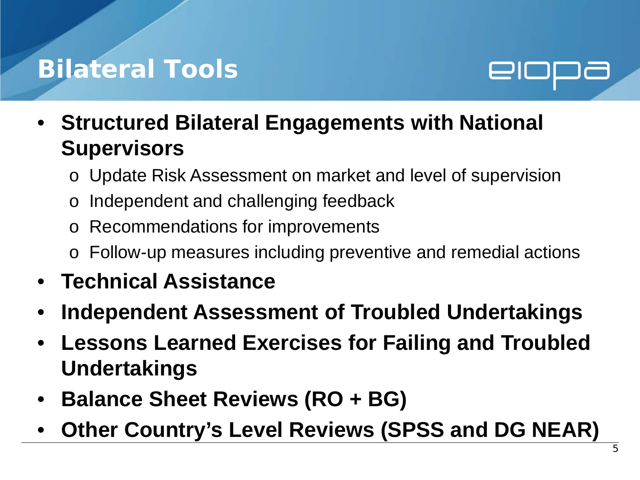## **Bilateral Tools**



- **Structured Bilateral Engagements with National Supervisors**
	- o Update Risk Assessment on market and level of supervision
	- Independent and challenging feedback
	- o Recommendations for improvements
	- o Follow-up measures including preventive and remedial actions
- **Technical Assistance**
- **Independent Assessment of Troubled Undertakings**
- **Lessons Learned Exercises for Failing and Troubled Undertakings**
- **Balance Sheet Reviews (RO + BG)**
- **Other Country's Level Reviews (SPSS and DG NEAR)**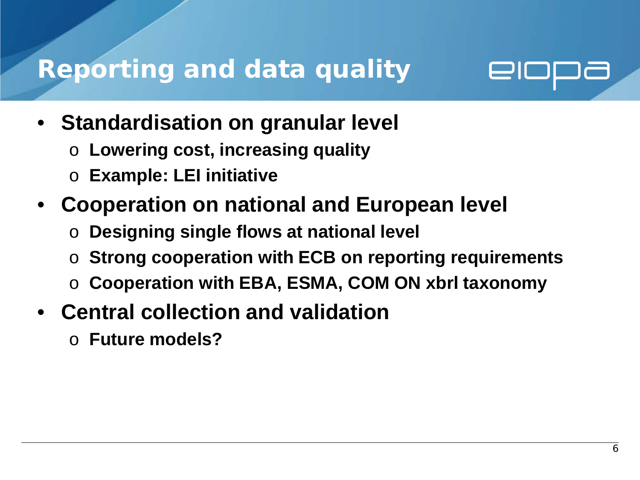## **Reporting and data quality**



- **Standardisation on granular level**
	- o **Lowering cost, increasing quality**
	- o **Example: LEI initiative**
- **Cooperation on national and European level**
	- o **Designing single flows at national level**
	- o **Strong cooperation with ECB on reporting requirements**
	- o **Cooperation with EBA, ESMA, COM ON xbrl taxonomy**
- **Central collection and validation**
	- o **Future models?**